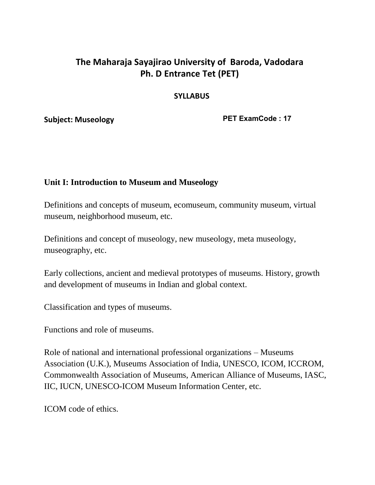# **The Maharaja Sayajirao University of Baroda, Vadodara Ph. D Entrance Tet (PET)**

#### **SYLLABUS**

**Subject: Museology** 

**PET ExamCode : 17**

#### **Unit I: Introduction to Museum and Museology**

Definitions and concepts of museum, ecomuseum, community museum, virtual museum, neighborhood museum, etc.

Definitions and concept of museology, new museology, meta museology, museography, etc.

Early collections, ancient and medieval prototypes of museums. History, growth and development of museums in Indian and global context.

Classification and types of museums.

Functions and role of museums.

Role of national and international professional organizations – Museums Association (U.K.), Museums Association of India, UNESCO, ICOM, ICCROM, Commonwealth Association of Museums, American Alliance of Museums, IASC, IIC, IUCN, UNESCO-ICOM Museum Information Center, etc.

ICOM code of ethics.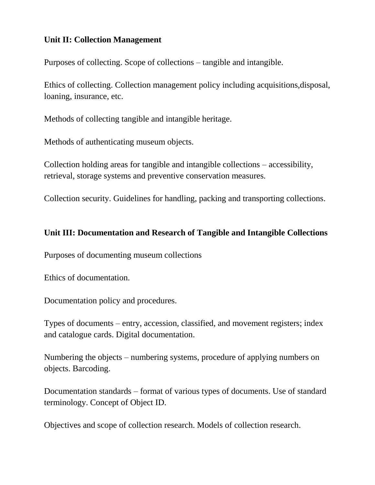### **Unit II: Collection Management**

Purposes of collecting. Scope of collections – tangible and intangible.

Ethics of collecting. Collection management policy including acquisitions,disposal, loaning, insurance, etc.

Methods of collecting tangible and intangible heritage.

Methods of authenticating museum objects.

Collection holding areas for tangible and intangible collections – accessibility, retrieval, storage systems and preventive conservation measures.

Collection security. Guidelines for handling, packing and transporting collections.

### **Unit III: Documentation and Research of Tangible and Intangible Collections**

Purposes of documenting museum collections

Ethics of documentation.

Documentation policy and procedures.

Types of documents – entry, accession, classified, and movement registers; index and catalogue cards. Digital documentation.

Numbering the objects – numbering systems, procedure of applying numbers on objects. Barcoding.

Documentation standards – format of various types of documents. Use of standard terminology. Concept of Object ID.

Objectives and scope of collection research. Models of collection research.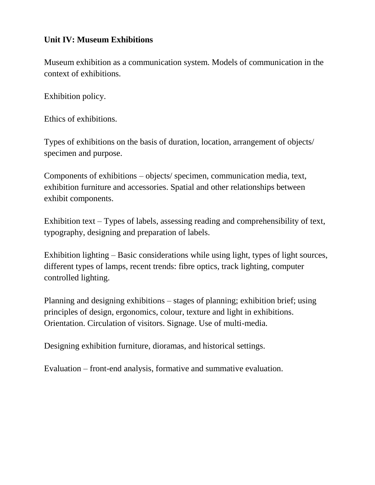### **Unit IV: Museum Exhibitions**

Museum exhibition as a communication system. Models of communication in the context of exhibitions.

Exhibition policy.

Ethics of exhibitions.

Types of exhibitions on the basis of duration, location, arrangement of objects/ specimen and purpose.

Components of exhibitions – objects/ specimen, communication media, text, exhibition furniture and accessories. Spatial and other relationships between exhibit components.

Exhibition text – Types of labels, assessing reading and comprehensibility of text, typography, designing and preparation of labels.

Exhibition lighting – Basic considerations while using light, types of light sources, different types of lamps, recent trends: fibre optics, track lighting, computer controlled lighting.

Planning and designing exhibitions – stages of planning; exhibition brief; using principles of design, ergonomics, colour, texture and light in exhibitions. Orientation. Circulation of visitors. Signage. Use of multi-media.

Designing exhibition furniture, dioramas, and historical settings.

Evaluation – front-end analysis, formative and summative evaluation.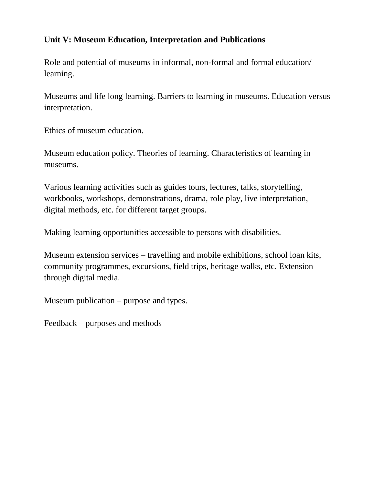# **Unit V: Museum Education, Interpretation and Publications**

Role and potential of museums in informal, non-formal and formal education/ learning.

Museums and life long learning. Barriers to learning in museums. Education versus interpretation.

Ethics of museum education.

Museum education policy. Theories of learning. Characteristics of learning in museums.

Various learning activities such as guides tours, lectures, talks, storytelling, workbooks, workshops, demonstrations, drama, role play, live interpretation, digital methods, etc. for different target groups.

Making learning opportunities accessible to persons with disabilities.

Museum extension services – travelling and mobile exhibitions, school loan kits, community programmes, excursions, field trips, heritage walks, etc. Extension through digital media.

Museum publication – purpose and types.

Feedback – purposes and methods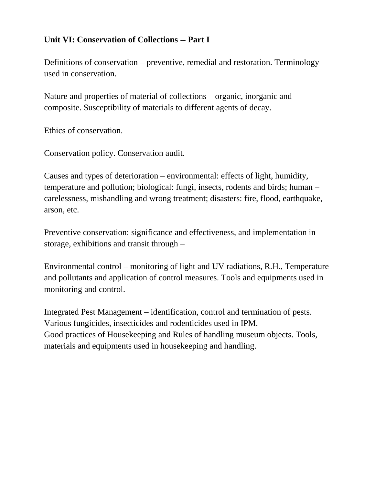# **Unit VI: Conservation of Collections -- Part I**

Definitions of conservation – preventive, remedial and restoration. Terminology used in conservation.

Nature and properties of material of collections – organic, inorganic and composite. Susceptibility of materials to different agents of decay.

Ethics of conservation.

Conservation policy. Conservation audit.

Causes and types of deterioration – environmental: effects of light, humidity, temperature and pollution; biological: fungi, insects, rodents and birds; human – carelessness, mishandling and wrong treatment; disasters: fire, flood, earthquake, arson, etc.

Preventive conservation: significance and effectiveness, and implementation in storage, exhibitions and transit through –

Environmental control – monitoring of light and UV radiations, R.H., Temperature and pollutants and application of control measures. Tools and equipments used in monitoring and control.

Integrated Pest Management – identification, control and termination of pests. Various fungicides, insecticides and rodenticides used in IPM. Good practices of Housekeeping and Rules of handling museum objects. Tools, materials and equipments used in housekeeping and handling.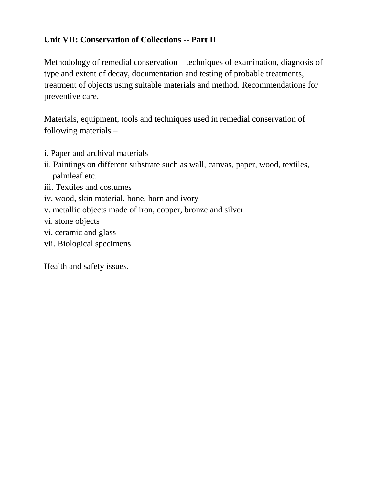# **Unit VII: Conservation of Collections -- Part II**

Methodology of remedial conservation – techniques of examination, diagnosis of type and extent of decay, documentation and testing of probable treatments, treatment of objects using suitable materials and method. Recommendations for preventive care.

Materials, equipment, tools and techniques used in remedial conservation of following materials –

- i. Paper and archival materials
- ii. Paintings on different substrate such as wall, canvas, paper, wood, textiles, palmleaf etc.
- iii. Textiles and costumes
- iv. wood, skin material, bone, horn and ivory
- v. metallic objects made of iron, copper, bronze and silver
- vi. stone objects
- vi. ceramic and glass
- vii. Biological specimens

Health and safety issues.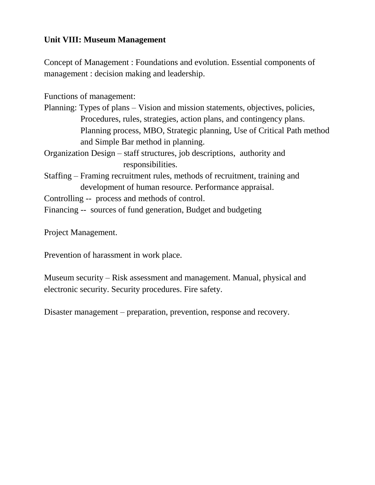# **Unit VIII: Museum Management**

Concept of Management : Foundations and evolution. Essential components of management : decision making and leadership.

Functions of management:

- Planning: Types of plans Vision and mission statements, objectives, policies, Procedures, rules, strategies, action plans, and contingency plans. Planning process, MBO, Strategic planning, Use of Critical Path method and Simple Bar method in planning.
- Organization Design staff structures, job descriptions, authority and responsibilities.
- Staffing Framing recruitment rules, methods of recruitment, training and development of human resource. Performance appraisal.
- Controlling -- process and methods of control.
- Financing -- sources of fund generation, Budget and budgeting

Project Management.

Prevention of harassment in work place.

Museum security – Risk assessment and management. Manual, physical and electronic security. Security procedures. Fire safety.

Disaster management – preparation, prevention, response and recovery.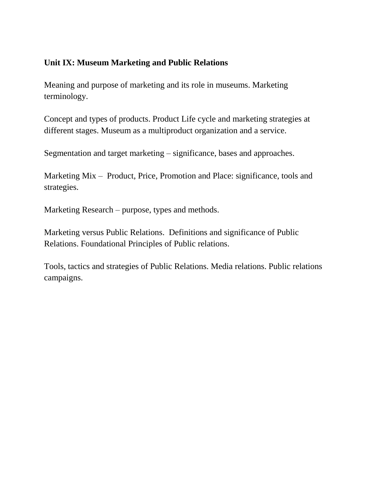#### **Unit IX: Museum Marketing and Public Relations**

Meaning and purpose of marketing and its role in museums. Marketing terminology.

Concept and types of products. Product Life cycle and marketing strategies at different stages. Museum as a multiproduct organization and a service.

Segmentation and target marketing – significance, bases and approaches.

Marketing Mix – Product, Price, Promotion and Place: significance, tools and strategies.

Marketing Research – purpose, types and methods.

Marketing versus Public Relations. Definitions and significance of Public Relations. Foundational Principles of Public relations.

Tools, tactics and strategies of Public Relations. Media relations. Public relations campaigns.